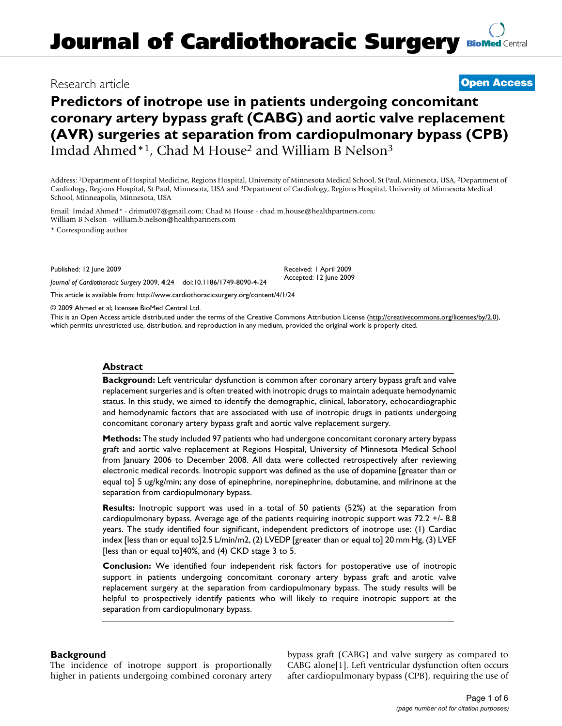## Research article **[Open Access](http://www.biomedcentral.com/info/about/charter/)**

# **Predictors of inotrope use in patients undergoing concomitant coronary artery bypass graft (CABG) and aortic valve replacement (AVR) surgeries at separation from cardiopulmonary bypass (CPB)** Imdad Ahmed\*1, Chad M House2 and William B Nelson3

Address: 1Department of Hospital Medicine, Regions Hospital, University of Minnesota Medical School, St Paul, Minnesota, USA, 2Department of Cardiology, Regions Hospital, St Paul, Minnesota, USA and 3Department of Cardiology, Regions Hospital, University of Minnesota Medical School, Minneapolis, Minnesota, USA

Email: Imdad Ahmed\* - drimu007@gmail.com; Chad M House - chad.m.house@healthpartners.com; William B Nelson - william.b.nelson@healthpartners.com

\* Corresponding author

Published: 12 June 2009

*Journal of Cardiothoracic Surgery* 2009, **4**:24 doi:10.1186/1749-8090-4-24

Received: 1 April 2009 Accepted: 12 June 2009

[This article is available from: http://www.cardiothoracicsurgery.org/content/4/1/24](http://www.cardiothoracicsurgery.org/content/4/1/24)

© 2009 Ahmed et al; licensee BioMed Central Ltd.

This is an Open Access article distributed under the terms of the Creative Commons Attribution License [\(http://creativecommons.org/licenses/by/2.0\)](http://creativecommons.org/licenses/by/2.0), which permits unrestricted use, distribution, and reproduction in any medium, provided the original work is properly cited.

## **Abstract**

**Background:** Left ventricular dysfunction is common after coronary artery bypass graft and valve replacement surgeries and is often treated with inotropic drugs to maintain adequate hemodynamic status. In this study, we aimed to identify the demographic, clinical, laboratory, echocardiographic and hemodynamic factors that are associated with use of inotropic drugs in patients undergoing concomitant coronary artery bypass graft and aortic valve replacement surgery.

**Methods:** The study included 97 patients who had undergone concomitant coronary artery bypass graft and aortic valve replacement at Regions Hospital, University of Minnesota Medical School from January 2006 to December 2008. All data were collected retrospectively after reviewing electronic medical records. Inotropic support was defined as the use of dopamine [greater than or equal to] 5 ug/kg/min; any dose of epinephrine, norepinephrine, dobutamine, and milrinone at the separation from cardiopulmonary bypass.

**Results:** Inotropic support was used in a total of 50 patients (52%) at the separation from cardiopulmonary bypass. Average age of the patients requiring inotropic support was 72.2 +/- 8.8 years. The study identified four significant, independent predictors of inotrope use: (1) Cardiac index [less than or equal to]2.5 L/min/m2, (2) LVEDP [greater than or equal to] 20 mm Hg, (3) LVEF [less than or equal to]40%, and (4) CKD stage 3 to 5.

**Conclusion:** We identified four independent risk factors for postoperative use of inotropic support in patients undergoing concomitant coronary artery bypass graft and arotic valve replacement surgery at the separation from cardiopulmonary bypass. The study results will be helpful to prospectively identify patients who will likely to require inotropic support at the separation from cardiopulmonary bypass.

## **Background**

The incidence of inotrope support is proportionally higher in patients undergoing combined coronary artery bypass graft (CABG) and valve surgery as compared to CABG alone[1]. Left ventricular dysfunction often occurs after cardiopulmonary bypass (CPB), requiring the use of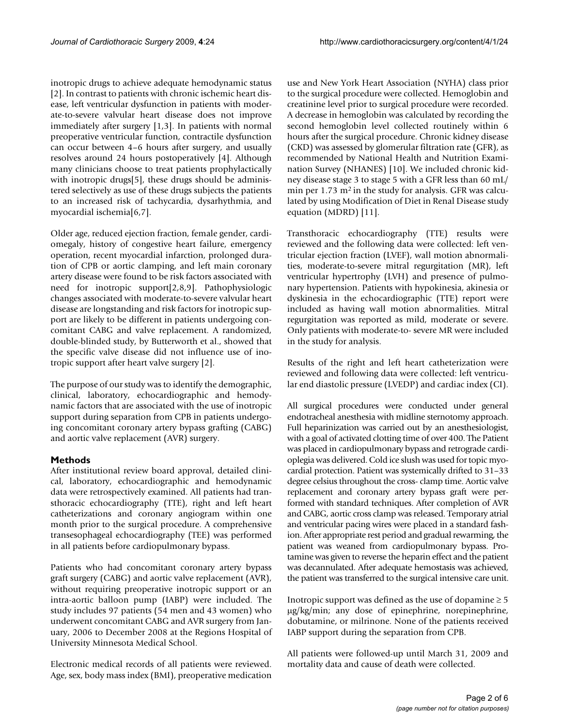inotropic drugs to achieve adequate hemodynamic status [2]. In contrast to patients with chronic ischemic heart disease, left ventricular dysfunction in patients with moderate-to-severe valvular heart disease does not improve immediately after surgery [1,3]. In patients with normal preoperative ventricular function, contractile dysfunction can occur between 4–6 hours after surgery, and usually resolves around 24 hours postoperatively [4]. Although many clinicians choose to treat patients prophylactically with inotropic drugs[5], these drugs should be administered selectively as use of these drugs subjects the patients to an increased risk of tachycardia, dysarhythmia, and myocardial ischemia[6,7].

Older age, reduced ejection fraction, female gender, cardiomegaly, history of congestive heart failure, emergency operation, recent myocardial infarction, prolonged duration of CPB or aortic clamping, and left main coronary artery disease were found to be risk factors associated with need for inotropic support[2,8,9]. Pathophysiologic changes associated with moderate-to-severe valvular heart disease are longstanding and risk factors for inotropic support are likely to be different in patients undergoing concomitant CABG and valve replacement. A randomized, double-blinded study, by Butterworth et al., showed that the specific valve disease did not influence use of inotropic support after heart valve surgery [2].

The purpose of our study was to identify the demographic, clinical, laboratory, echocardiographic and hemodynamic factors that are associated with the use of inotropic support during separation from CPB in patients undergoing concomitant coronary artery bypass grafting (CABG) and aortic valve replacement (AVR) surgery.

## **Methods**

After institutional review board approval, detailed clinical, laboratory, echocardiographic and hemodynamic data were retrospectively examined. All patients had transthoracic echocardiography (TTE), right and left heart catheterizations and coronary angiogram within one month prior to the surgical procedure. A comprehensive transesophageal echocardiography (TEE) was performed in all patients before cardiopulmonary bypass.

Patients who had concomitant coronary artery bypass graft surgery (CABG) and aortic valve replacement (AVR), without requiring preoperative inotropic support or an intra-aortic balloon pump (IABP) were included. The study includes 97 patients (54 men and 43 women) who underwent concomitant CABG and AVR surgery from January, 2006 to December 2008 at the Regions Hospital of University Minnesota Medical School.

Electronic medical records of all patients were reviewed. Age, sex, body mass index (BMI), preoperative medication use and New York Heart Association (NYHA) class prior to the surgical procedure were collected. Hemoglobin and creatinine level prior to surgical procedure were recorded. A decrease in hemoglobin was calculated by recording the second hemoglobin level collected routinely within 6 hours after the surgical procedure. Chronic kidney disease (CKD) was assessed by glomerular filtration rate (GFR), as recommended by National Health and Nutrition Examination Survey (NHANES) [10]. We included chronic kidney disease stage 3 to stage 5 with a GFR less than 60 mL/ min per  $1.73 \text{ m}^2$  in the study for analysis. GFR was calculated by using Modification of Diet in Renal Disease study equation (MDRD) [11].

Transthoracic echocardiography (TTE) results were reviewed and the following data were collected: left ventricular ejection fraction (LVEF), wall motion abnormalities, moderate-to-severe mitral regurgitation (MR), left ventricular hypertrophy (LVH) and presence of pulmonary hypertension. Patients with hypokinesia, akinesia or dyskinesia in the echocardiographic (TTE) report were included as having wall motion abnormalities. Mitral regurgitation was reported as mild, moderate or severe. Only patients with moderate-to- severe MR were included in the study for analysis.

Results of the right and left heart catheterization were reviewed and following data were collected: left ventricular end diastolic pressure (LVEDP) and cardiac index (CI).

All surgical procedures were conducted under general endotracheal anesthesia with midline sternotomy approach. Full heparinization was carried out by an anesthesiologist, with a goal of activated clotting time of over 400. The Patient was placed in cardiopulmonary bypass and retrograde cardioplegia was delivered. Cold ice slush was used for topic myocardial protection. Patient was systemically drifted to 31–33 degree celsius throughout the cross- clamp time. Aortic valve replacement and coronary artery bypass graft were performed with standard techniques. After completion of AVR and CABG, aortic cross clamp was released. Temporary atrial and ventricular pacing wires were placed in a standard fashion. After appropriate rest period and gradual rewarming, the patient was weaned from cardiopulmonary bypass. Protamine was given to reverse the heparin effect and the patient was decannulated. After adequate hemostasis was achieved, the patient was transferred to the surgical intensive care unit.

Inotropic support was defined as the use of dopamine  $\geq 5$ μg/kg/min; any dose of epinephrine, norepinephrine, dobutamine, or milrinone. None of the patients received IABP support during the separation from CPB.

All patients were followed-up until March 31, 2009 and mortality data and cause of death were collected.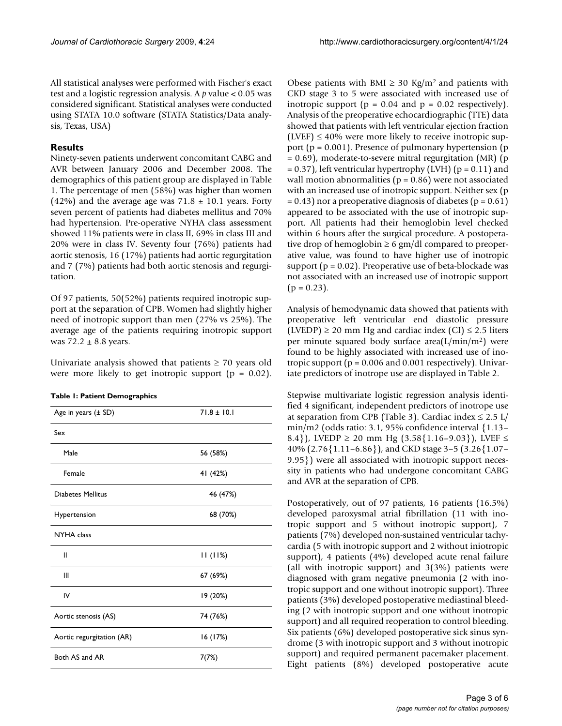All statistical analyses were performed with Fischer's exact test and a logistic regression analysis. A *p* value < 0.05 was considered significant. Statistical analyses were conducted using STATA 10.0 software (STATA Statistics/Data analysis, Texas, USA)

## **Results**

Ninety-seven patients underwent concomitant CABG and AVR between January 2006 and December 2008. The demographics of this patient group are displayed in Table 1. The percentage of men (58%) was higher than women (42%) and the average age was  $71.8 \pm 10.1$  years. Forty seven percent of patients had diabetes mellitus and 70% had hypertension. Pre-operative NYHA class assessment showed 11% patients were in class II, 69% in class III and 20% were in class IV. Seventy four (76%) patients had aortic stenosis, 16 (17%) patients had aortic regurgitation and 7 (7%) patients had both aortic stenosis and regurgitation.

Of 97 patients, 50(52%) patients required inotropic support at the separation of CPB. Women had slightly higher need of inotropic support than men (27% vs 25%). The average age of the patients requiring inotropic support was  $72.2 \pm 8.8$  years.

Univariate analysis showed that patients  $\geq 70$  years old were more likely to get inotropic support  $(p = 0.02)$ .

| Age in years $(\pm SD)$   | $71.8 \pm 10.1$ |
|---------------------------|-----------------|
| Sex                       |                 |
| Male                      | 56 (58%)        |
| Female                    | 41 (42%)        |
| <b>Diabetes Mellitus</b>  | 46 (47%)        |
| Hypertension              | 68 (70%)        |
| <b>NYHA</b> class         |                 |
| Ш                         | 11(11%)         |
| Ш                         | 67 (69%)        |
| IV                        | 19 (20%)        |
| Aortic stenosis (AS)      | 74 (76%)        |
| Aortic regurgitation (AR) | 16 (17%)        |
| Both AS and AR            | 7(7%)           |

Obese patients with BMI  $\geq$  30 Kg/m<sup>2</sup> and patients with CKD stage 3 to 5 were associated with increased use of inotropic support ( $p = 0.04$  and  $p = 0.02$  respectively). Analysis of the preoperative echocardiographic (TTE) data showed that patients with left ventricular ejection fraction (LVEF)  $\leq 40\%$  were more likely to receive inotropic support (p = 0.001). Presence of pulmonary hypertension (p = 0.69), moderate-to-severe mitral regurgitation (MR) (p  $= 0.37$ ), left ventricular hypertrophy (LVH) (p  $= 0.11$ ) and wall motion abnormalities ( $p = 0.86$ ) were not associated with an increased use of inotropic support. Neither sex (p  $= 0.43$ ) nor a preoperative diagnosis of diabetes (p  $= 0.61$ ) appeared to be associated with the use of inotropic support. All patients had their hemoglobin level checked within 6 hours after the surgical procedure. A postoperative drop of hemoglobin  $\geq 6$  gm/dl compared to preoperative value, was found to have higher use of inotropic support ( $p = 0.02$ ). Preoperative use of beta-blockade was not associated with an increased use of inotropic support  $(p = 0.23)$ .

Analysis of hemodynamic data showed that patients with preoperative left ventricular end diastolic pressure (LVEDP)  $\geq$  20 mm Hg and cardiac index (CI)  $\leq$  2.5 liters per minute squared body surface area(L/min/m2) were found to be highly associated with increased use of inotropic support ( $p = 0.006$  and  $0.001$  respectively). Univariate predictors of inotrope use are displayed in Table 2.

Stepwise multivariate logistic regression analysis identified 4 significant, independent predictors of inotrope use at separation from CPB (Table 3). Cardiac index  $\leq 2.5$  L/ min/m2 (odds ratio: 3.1, 95% confidence interval {1.13– 8.4}), LVEDP  $\geq$  20 mm Hg (3.58{1.16-9.03}), LVEF  $\leq$ 40% (2.76{1.11–6.86}), and CKD stage 3–5 (3.26{1.07– 9.95}) were all associated with inotropic support necessity in patients who had undergone concomitant CABG and AVR at the separation of CPB.

Postoperatively, out of 97 patients, 16 patients (16.5%) developed paroxysmal atrial fibrillation (11 with inotropic support and 5 without inotropic support), 7 patients (7%) developed non-sustained ventricular tachycardia (5 with inotropic support and 2 without iniotropic support), 4 patients (4%) developed acute renal failure (all with inotropic support) and 3(3%) patients were diagnosed with gram negative pneumonia (2 with inotropic support and one without inotropic support). Three patients (3%) developed postoperative mediastinal bleeding (2 with inotropic support and one without inotropic support) and all required reoperation to control bleeding. Six patients (6%) developed postoperative sick sinus syndrome (3 with inotropic support and 3 without inotropic support) and required permanent pacemaker placement. Eight patients (8%) developed postoperative acute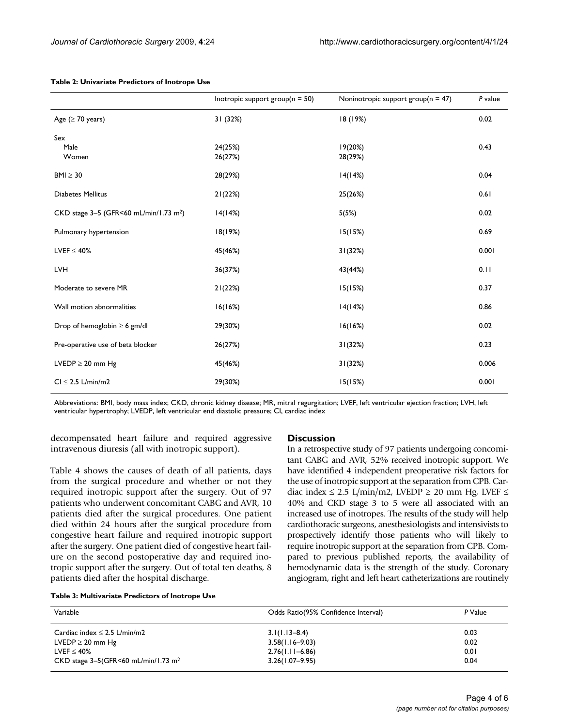|                                                    | Inotropic support $group(n = 50)$ | Noninotropic support $group(n = 47)$ | P value |
|----------------------------------------------------|-----------------------------------|--------------------------------------|---------|
| Age ( $\geq$ 70 years)                             | 31 (32%)                          | 18 (19%)                             | 0.02    |
| Sex<br>Male<br>Women                               | 24(25%)<br>26(27%)                | 19(20%)<br>28(29%)                   | 0.43    |
| $BMI \geq 30$                                      | 28(29%)                           | 14(14%)                              | 0.04    |
| Diabetes Mellitus                                  | 21(22%)                           | 25(26%)                              | 0.61    |
| CKD stage 3-5 (GFR<60 mL/min/1.73 m <sup>2</sup> ) | 14(14%)                           | 5(5%)                                | 0.02    |
| Pulmonary hypertension                             | 18(19%)                           | 15(15%)                              | 0.69    |
| LVEF $\leq 40\%$                                   | 45(46%)                           | 31(32%)                              | 0.001   |
| <b>LVH</b>                                         | 36(37%)                           | 43(44%)                              | 0.11    |
| Moderate to severe MR                              | 21(22%)                           | 15(15%)                              | 0.37    |
| Wall motion abnormalities                          | 16(16%)                           | 14(14%)                              | 0.86    |
| Drop of hemoglobin $\geq 6$ gm/dl                  | 29(30%)                           | 16(16%)                              | 0.02    |
| Pre-operative use of beta blocker                  | 26(27%)                           | 31(32%)                              | 0.23    |
| LVEDP $\geq$ 20 mm Hg                              | 45(46%)                           | 31(32%)                              | 0.006   |
| $Cl \leq 2.5$ L/min/m2                             | 29(30%)                           | 15(15%)                              | 0.001   |

#### **Table 2: Univariate Predictors of Inotrope Use**

Abbreviations: BMI, body mass index; CKD, chronic kidney disease; MR, mitral regurgitation; LVEF, left ventricular ejection fraction; LVH, left ventricular hypertrophy; LVEDP, left ventricular end diastolic pressure; CI, cardiac index

## decompensated heart failure and required aggressive intravenous diuresis (all with inotropic support).

Table 4 shows the causes of death of all patients, days from the surgical procedure and whether or not they required inotropic support after the surgery. Out of 97 patients who underwent concomitant CABG and AVR, 10 patients died after the surgical procedures. One patient died within 24 hours after the surgical procedure from congestive heart failure and required inotropic support after the surgery. One patient died of congestive heart failure on the second postoperative day and required inotropic support after the surgery. Out of total ten deaths, 8 patients died after the hospital discharge.

### **Discussion**

In a retrospective study of 97 patients undergoing concomitant CABG and AVR, 52% received inotropic support. We have identified 4 independent preoperative risk factors for the use of inotropic support at the separation from CPB. Cardiac index  $\leq$  2.5 L/min/m2, LVEDP  $\geq$  20 mm Hg, LVEF  $\leq$ 40% and CKD stage 3 to 5 were all associated with an increased use of inotropes. The results of the study will help cardiothoracic surgeons, anesthesiologists and intensivists to prospectively identify those patients who will likely to require inotropic support at the separation from CPB. Compared to previous published reports, the availability of hemodynamic data is the strength of the study. Coronary angiogram, right and left heart catheterizations are routinely

**Table 3: Multivariate Predictors of Inotrope Use**

| Variable                                                                    | Odds Ratio(95% Confidence Interval)                             | P Value              |
|-----------------------------------------------------------------------------|-----------------------------------------------------------------|----------------------|
| Cardiac index $\leq$ 2.5 L/min/m2<br>LVEDP $\geq$ 20 mm Hg<br>$LVEF < 40\%$ | $3.1(1.13 - 8.4)$<br>$3.58(1.16 - 9.03)$<br>$2.76(1.11 - 6.86)$ | 0.03<br>0.02<br>0.01 |
| CKD stage $3-5$ (GFR<60 mL/min/1.73 m <sup>2</sup>                          | $3.26(1.07 - 9.95)$                                             | 0.04                 |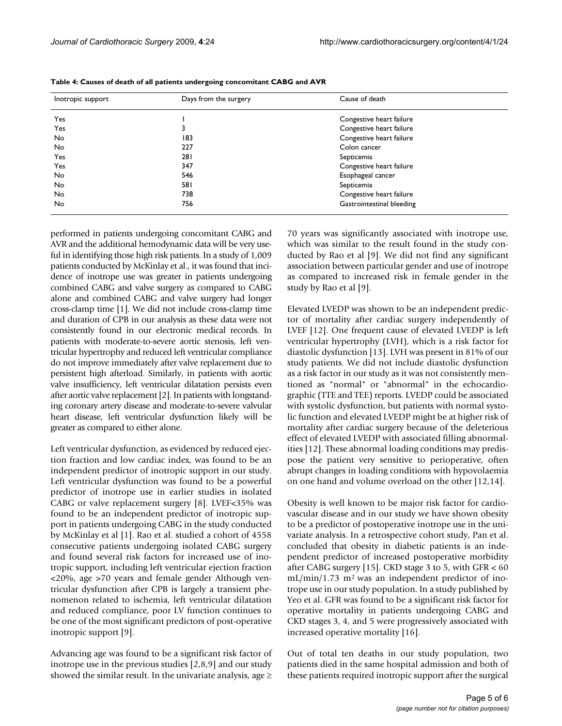| Inotropic support | Days from the surgery | Cause of death            |  |
|-------------------|-----------------------|---------------------------|--|
| Yes               |                       | Congestive heart failure  |  |
| Yes               |                       | Congestive heart failure  |  |
| <b>No</b>         | 183                   | Congestive heart failure  |  |
| <b>No</b>         | 227                   | Colon cancer              |  |
| Yes               | 281                   | Septicemia                |  |
| Yes               | 347                   | Congestive heart failure  |  |
| No.               | 546                   | Esophageal cancer         |  |
| <b>No</b>         | 581                   | Septicemia                |  |
| No.               | 738                   | Congestive heart failure  |  |
| No.               | 756                   | Gastrointestinal bleeding |  |

**Table 4: Causes of death of all patients undergoing concomitant CABG and AVR**

performed in patients undergoing concomitant CABG and AVR and the additional hemodynamic data will be very useful in identifying those high risk patients. In a study of 1,009 patients conducted by McKinlay et al., it was found that incidence of inotrope use was greater in patients undergoing combined CABG and valve surgery as compared to CABG alone and combined CABG and valve surgery had longer cross-clamp time [1]. We did not include cross-clamp time and duration of CPB in our analysis as these data were not consistently found in our electronic medical records. In patients with moderate-to-severe aortic stenosis, left ventricular hypertrophy and reduced left ventricular compliance do not improve immediately after valve replacement due to persistent high afterload. Similarly, in patients with aortic valve insufficiency, left ventricular dilatation persists even after aortic valve replacement [2]. In patients with longstanding coronary artery disease and moderate-to-severe valvular heart disease, left ventricular dysfunction likely will be greater as compared to either alone.

Left ventricular dysfunction, as evidenced by reduced ejection fraction and low cardiac index, was found to be an independent predictor of inotropic support in our study. Left ventricular dysfunction was found to be a powerful predictor of inotrope use in earlier studies in isolated CABG or valve replacement surgery [8]. LVEF<35% was found to be an independent predictor of inotropic support in patients undergoing CABG in the study conducted by McKinlay et al [1]. Rao et al. studied a cohort of 4558 consecutive patients undergoing isolated CABG surgery and found several risk factors for increased use of inotropic support, including left ventricular ejection fraction <20%, age >70 years and female gender Although ventricular dysfunction after CPB is largely a transient phenomenon related to ischemia, left ventricular dilatation and reduced compliance, poor LV function continues to be one of the most significant predictors of post-operative inotropic support [9].

Advancing age was found to be a significant risk factor of inotrope use in the previous studies [2,8,9] and our study showed the similar result. In the univariate analysis, age  $\geq$  70 years was significantly associated with inotrope use, which was similar to the result found in the study conducted by Rao et al [9]. We did not find any significant association between particular gender and use of inotrope as compared to increased risk in female gender in the study by Rao et al [9].

Elevated LVEDP was shown to be an independent predictor of mortality after cardiac surgery independently of LVEF [12]. One frequent cause of elevated LVEDP is left ventricular hypertrophy (LVH), which is a risk factor for diastolic dysfunction [13]. LVH was present in 81% of our study patients. We did not include diastolic dysfunction as a risk factor in our study as it was not consistently mentioned as "normal" or "abnormal" in the echocardiographic (TTE and TEE) reports. LVEDP could be associated with systolic dysfunction, but patients with normal systolic function and elevated LVEDP might be at higher risk of mortality after cardiac surgery because of the deleterious effect of elevated LVEDP with associated filling abnormalities [12]. These abnormal loading conditions may predispose the patient very sensitive to perioperative, often abrupt changes in loading conditions with hypovolaemia on one hand and volume overload on the other [12,14].

Obesity is well known to be major risk factor for cardiovascular disease and in our study we have shown obesity to be a predictor of postoperative inotrope use in the univariate analysis. In a retrospective cohort study, Pan et al. concluded that obesity in diabetic patients is an independent predictor of increased postoperative morbidity after CABG surgery [15]. CKD stage 3 to 5, with GFR < 60  $mL/min/1.73$  m<sup>2</sup> was an independent predictor of inotrope use in our study population. In a study published by Yeo et al. GFR was found to be a significant risk factor for operative mortality in patients undergoing CABG and CKD stages 3, 4, and 5 were progressively associated with increased operative mortality [16].

Out of total ten deaths in our study population, two patients died in the same hospital admission and both of these patients required inotropic support after the surgical